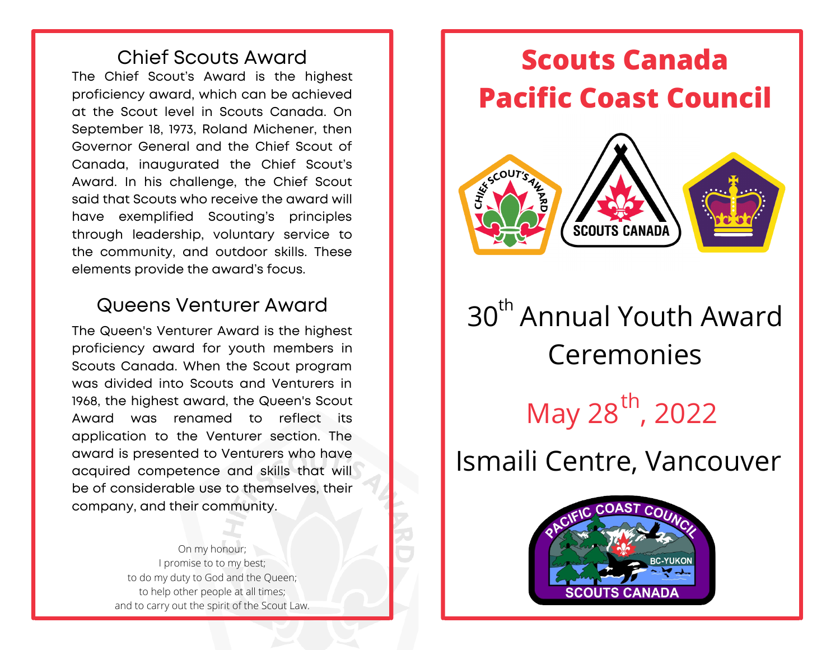#### Chief Scouts Award The Chief Scout's Award is the highest proficiency award, which can be achieved at the Scout level in Scouts Canada. On September 18, 1973, Roland Michener, then Governor General and the Chief Scout of Canada, inaugurated the Chief Scout's Award. In his challenge, the Chief Scout said that Scouts who receive the award will have exemplified Scouting's principles through leadership, voluntary service to the community, and outdoor skills. These elements provide the award's focus.

#### Queens Venturer Award

The Queen's Venturer Award is the highest proficiency award for youth members in Scouts Canada. When the Scout program was divided into Scouts and Venturers in 1968, the highest award, the Queen's Scout Award was renamed to reflect its application to the Venturer section. The award is presented to Venturers who have acquired competence and skills that will be of considerable use to themselves, their company, and their community.

> On my honour; I promise to to my best; to do my duty to God and the Queen; to help other people at all times; and to carry out the spirit of the Scout Law.



# 30<sup>th</sup> Annual Youth Award **Ceremonies** May 28", 2022 th

# Ismaili Centre, Vancouver